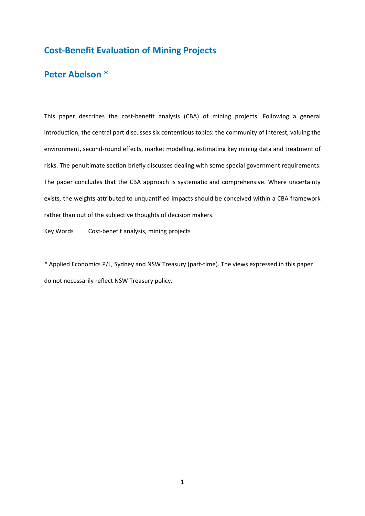# **Cost-Benefit Evaluation of Mining Projects**

# **Peter Abelson \***

This paper describes the cost-benefit analysis (CBA) of mining projects. Following a general introduction, the central part discusses six contentious topics: the community of interest, valuing the environment, second-round effects, market modelling, estimating key mining data and treatment of risks. The penultimate section briefly discusses dealing with some special government requirements. The paper concludes that the CBA approach is systematic and comprehensive. Where uncertainty exists, the weights attributed to unquantified impacts should be conceived within a CBA framework rather than out of the subjective thoughts of decision makers.

Key Words Cost-benefit analysis, mining projects

\* Applied Economics P/L, Sydney and NSW Treasury (part-time). The views expressed in this paper do not necessarily reflect NSW Treasury policy.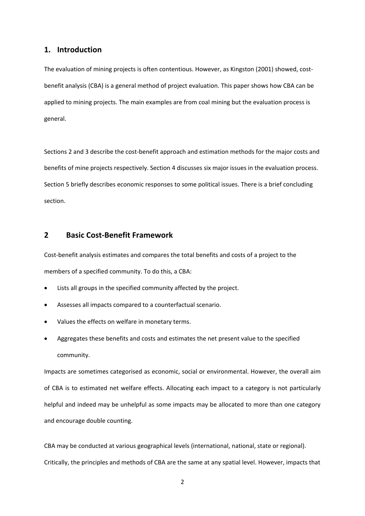## **1. Introduction**

The evaluation of mining projects is often contentious. However, as Kingston (2001) showed, costbenefit analysis (CBA) is a general method of project evaluation. This paper shows how CBA can be applied to mining projects. The main examples are from coal mining but the evaluation process is general.

Sections 2 and 3 describe the cost-benefit approach and estimation methods for the major costs and benefits of mine projects respectively. Section 4 discusses six major issues in the evaluation process. Section 5 briefly describes economic responses to some political issues. There is a brief concluding section.

## **2 Basic Cost-Benefit Framework**

Cost-benefit analysis estimates and compares the total benefits and costs of a project to the members of a specified community. To do this, a CBA:

- Lists all groups in the specified community affected by the project.
- Assesses all impacts compared to a counterfactual scenario.
- Values the effects on welfare in monetary terms.
- Aggregates these benefits and costs and estimates the net present value to the specified community.

Impacts are sometimes categorised as economic, social or environmental. However, the overall aim of CBA is to estimated net welfare effects. Allocating each impact to a category is not particularly helpful and indeed may be unhelpful as some impacts may be allocated to more than one category and encourage double counting.

CBA may be conducted at various geographical levels (international, national, state or regional). Critically, the principles and methods of CBA are the same at any spatial level. However, impacts that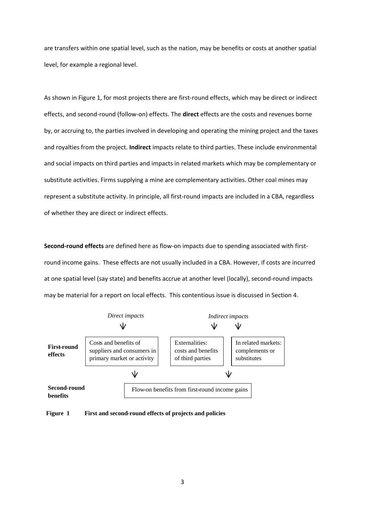are transfers within one spatial level, such as the nation, may be benefits or costs at another spatial level, for example a regional level.

As shown in Figure 1, for most projects there are first-round effects, which may be direct or indirect effects, and second-round (follow-on) effects. The **direct** effects are the costs and revenues borne by, or accruing to, the parties involved in developing and operating the mining project and the taxes and royalties from the project. **Indirect** impacts relate to third parties. These include environmental and social impacts on third parties and impacts in related markets which may be complementary or substitute activities. Firms supplying a mine are complementary activities. Other coal mines may represent a substitute activity. In principle, all first-round impacts are included in a CBA, regardless of whether they are direct or indirect effects.

**Second-round effects** are defined here as flow-on impacts due to spending associated with firstround income gains. These effects are not usually included in a CBA. However, if costs are incurred at one spatial level (say state) and benefits accrue at another level (locally), second-round impacts may be material for a report on local effects. This contentious issue is discussed in Section 4.



**Figure 1 First and second-round effects of projects and policies**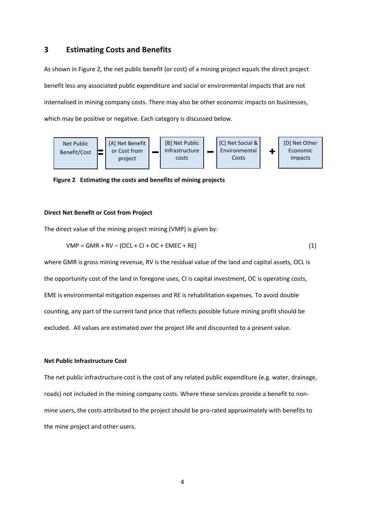## **3 Estimating Costs and Benefits**

As shown in Figure 2, the net public benefit (or cost) of a mining project equals the direct project benefit less any associated public expenditure and social or environmental impacts that are not internalised in mining company costs. There may also be other economic impacts on businesses, which may be positive or negative. Each category is discussed below.



 **Figure 2 Estimating the costs and benefits of mining projects**

#### **Direct Net Benefit or Cost from Project**

The direct value of the mining project mining (VMP) is given by:

$$
VMP = GMR + RV - (OCL + CI + OC + EMEC + RE)
$$
\n
$$
(1)
$$

where GMR is gross mining revenue, RV is the residual value of the land and capital assets, OCL is the opportunity cost of the land in foregone uses, CI is capital investment, OC is operating costs, EME is environmental mitigation expenses and RE is rehabilitation expenses. To avoid double counting, any part of the current land price that reflects possible future mining profit should be excluded. All values are estimated over the project life and discounted to a present value.

### **Net Public Infrastructure Cost**

The net public infrastructure cost is the cost of any related public expenditure (e.g. water, drainage, roads) not included in the mining company costs. Where these services provide a benefit to nonmine users, the costs attributed to the project should be pro-rated approximately with benefits to the mine project and other users.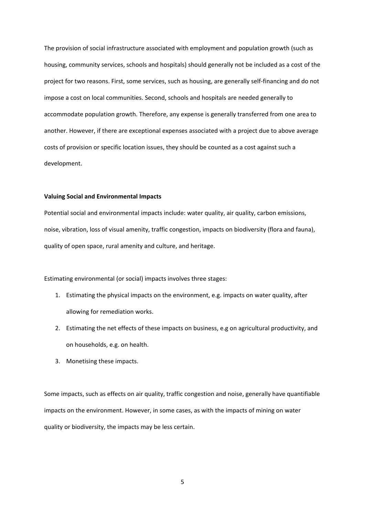The provision of social infrastructure associated with employment and population growth (such as housing, community services, schools and hospitals) should generally not be included as a cost of the project for two reasons. First, some services, such as housing, are generally self-financing and do not impose a cost on local communities. Second, schools and hospitals are needed generally to accommodate population growth. Therefore, any expense is generally transferred from one area to another. However, if there are exceptional expenses associated with a project due to above average costs of provision or specific location issues, they should be counted as a cost against such a development.

#### **Valuing Social and Environmental Impacts**

Potential social and environmental impacts include: water quality, air quality, carbon emissions, noise, vibration, loss of visual amenity, traffic congestion, impacts on biodiversity (flora and fauna), quality of open space, rural amenity and culture, and heritage.

Estimating environmental (or social) impacts involves three stages:

- 1. Estimating the physical impacts on the environment, e.g. impacts on water quality, after allowing for remediation works.
- 2. Estimating the net effects of these impacts on business, e.g on agricultural productivity, and on households, e.g. on health.
- 3. Monetising these impacts.

Some impacts, such as effects on air quality, traffic congestion and noise, generally have quantifiable impacts on the environment. However, in some cases, as with the impacts of mining on water quality or biodiversity, the impacts may be less certain.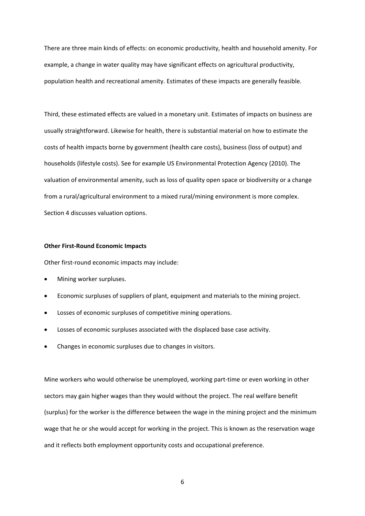There are three main kinds of effects: on economic productivity, health and household amenity. For example, a change in water quality may have significant effects on agricultural productivity, population health and recreational amenity. Estimates of these impacts are generally feasible.

Third, these estimated effects are valued in a monetary unit. Estimates of impacts on business are usually straightforward. Likewise for health, there is substantial material on how to estimate the costs of health impacts borne by government (health care costs), business (loss of output) and households (lifestyle costs). See for example US Environmental Protection Agency (2010). The valuation of environmental amenity, such as loss of quality open space or biodiversity or a change from a rural/agricultural environment to a mixed rural/mining environment is more complex. Section 4 discusses valuation options.

#### **Other First-Round Economic Impacts**

Other first-round economic impacts may include:

- Mining worker surpluses.
- Economic surpluses of suppliers of plant, equipment and materials to the mining project.
- Losses of economic surpluses of competitive mining operations.
- Losses of economic surpluses associated with the displaced base case activity.
- Changes in economic surpluses due to changes in visitors.

Mine workers who would otherwise be unemployed, working part-time or even working in other sectors may gain higher wages than they would without the project. The real welfare benefit (surplus) for the worker is the difference between the wage in the mining project and the minimum wage that he or she would accept for working in the project. This is known as the reservation wage and it reflects both employment opportunity costs and occupational preference.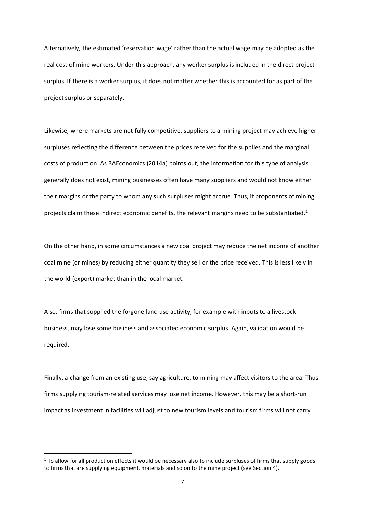Alternatively, the estimated 'reservation wage' rather than the actual wage may be adopted as the real cost of mine workers. Under this approach, any worker surplus is included in the direct project surplus. If there is a worker surplus, it does not matter whether this is accounted for as part of the project surplus or separately.

Likewise, where markets are not fully competitive, suppliers to a mining project may achieve higher surpluses reflecting the difference between the prices received for the supplies and the marginal costs of production. As BAEconomics (2014a) points out, the information for this type of analysis generally does not exist, mining businesses often have many suppliers and would not know either their margins or the party to whom any such surpluses might accrue. Thus, if proponents of mining projects claim these indirect economic benefits, the relevant margins need to be substantiated.<sup>1</sup>

On the other hand, in some circumstances a new coal project may reduce the net income of another coal mine (or mines) by reducing either quantity they sell or the price received. This is less likely in the world (export) market than in the local market.

Also, firms that supplied the forgone land use activity, for example with inputs to a livestock business, may lose some business and associated economic surplus. Again, validation would be required.

Finally, a change from an existing use, say agriculture, to mining may affect visitors to the area. Thus firms supplying tourism-related services may lose net income. However, this may be a short-run impact as investment in facilities will adjust to new tourism levels and tourism firms will not carry

**.** 

 $1$  To allow for all production effects it would be necessary also to include surpluses of firms that supply goods to firms that are supplying equipment, materials and so on to the mine project (see Section 4).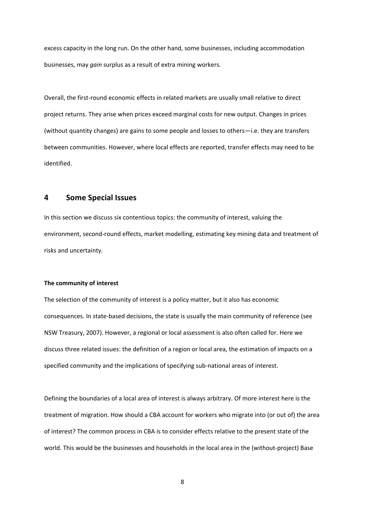excess capacity in the long run. On the other hand, some businesses, including accommodation businesses, may *gain* surplus as a result of extra mining workers.

Overall, the first-round economic effects in related markets are usually small relative to direct project returns. They arise when prices exceed marginal costs for new output. Changes in prices (without quantity changes) are gains to some people and losses to others—i.e. they are transfers between communities. However, where local effects are reported, transfer effects may need to be identified.

## **4 Some Special Issues**

In this section we discuss six contentious topics: the community of interest, valuing the environment, second-round effects, market modelling, estimating key mining data and treatment of risks and uncertainty.

#### **The community of interest**

The selection of the community of interest is a policy matter, but it also has economic consequences. In state-based decisions, the state is usually the main community of reference (see NSW Treasury, 2007). However, a regional or local assessment is also often called for. Here we discuss three related issues: the definition of a region or local area, the estimation of impacts on a specified community and the implications of specifying sub-national areas of interest.

Defining the boundaries of a local area of interest is always arbitrary. Of more interest here is the treatment of migration. How should a CBA account for workers who migrate into (or out of) the area of interest? The common process in CBA is to consider effects relative to the present state of the world. This would be the businesses and households in the local area in the (without-project) Base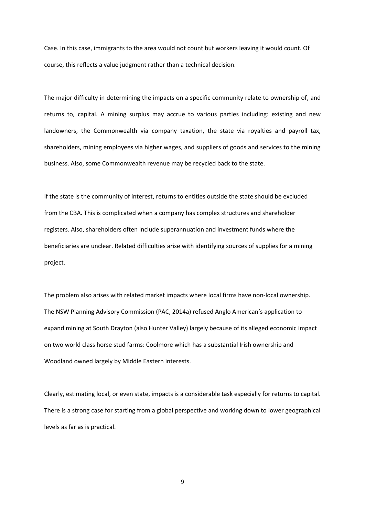Case. In this case, immigrants to the area would not count but workers leaving it would count. Of course, this reflects a value judgment rather than a technical decision.

The major difficulty in determining the impacts on a specific community relate to ownership of, and returns to, capital. A mining surplus may accrue to various parties including: existing and new landowners, the Commonwealth via company taxation, the state via royalties and payroll tax, shareholders, mining employees via higher wages, and suppliers of goods and services to the mining business. Also, some Commonwealth revenue may be recycled back to the state.

If the state is the community of interest, returns to entities outside the state should be excluded from the CBA. This is complicated when a company has complex structures and shareholder registers. Also, shareholders often include superannuation and investment funds where the beneficiaries are unclear. Related difficulties arise with identifying sources of supplies for a mining project.

The problem also arises with related market impacts where local firms have non-local ownership. The NSW Planning Advisory Commission (PAC, 2014a) refused Anglo American's application to expand mining at South Drayton (also Hunter Valley) largely because of its alleged economic impact on two world class horse stud farms: Coolmore which has a substantial Irish ownership and Woodland owned largely by Middle Eastern interests.

Clearly, estimating local, or even state, impacts is a considerable task especially for returns to capital. There is a strong case for starting from a global perspective and working down to lower geographical levels as far as is practical.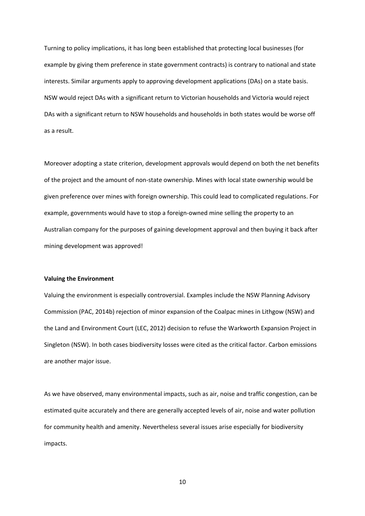Turning to policy implications, it has long been established that protecting local businesses (for example by giving them preference in state government contracts) is contrary to national and state interests. Similar arguments apply to approving development applications (DAs) on a state basis. NSW would reject DAs with a significant return to Victorian households and Victoria would reject DAs with a significant return to NSW households and households in both states would be worse off as a result.

Moreover adopting a state criterion, development approvals would depend on both the net benefits of the project and the amount of non-state ownership. Mines with local state ownership would be given preference over mines with foreign ownership. This could lead to complicated regulations. For example, governments would have to stop a foreign-owned mine selling the property to an Australian company for the purposes of gaining development approval and then buying it back after mining development was approved!

### **Valuing the Environment**

Valuing the environment is especially controversial. Examples include the NSW Planning Advisory Commission (PAC, 2014b) rejection of minor expansion of the Coalpac mines in Lithgow (NSW) and the Land and Environment Court (LEC, 2012) decision to refuse the Warkworth Expansion Project in Singleton (NSW). In both cases biodiversity losses were cited as the critical factor. Carbon emissions are another major issue.

As we have observed, many environmental impacts, such as air, noise and traffic congestion, can be estimated quite accurately and there are generally accepted levels of air, noise and water pollution for community health and amenity. Nevertheless several issues arise especially for biodiversity impacts.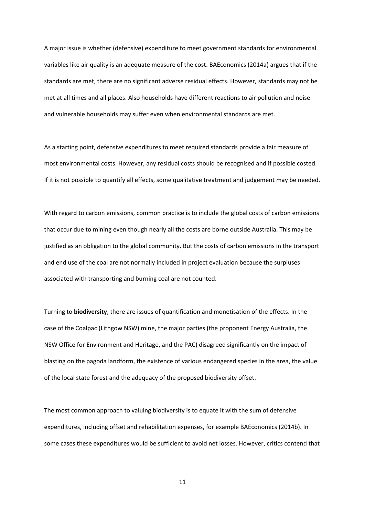A major issue is whether (defensive) expenditure to meet government standards for environmental variables like air quality is an adequate measure of the cost. BAEconomics (2014a) argues that if the standards are met, there are no significant adverse residual effects. However, standards may not be met at all times and all places. Also households have different reactions to air pollution and noise and vulnerable households may suffer even when environmental standards are met.

As a starting point, defensive expenditures to meet required standards provide a fair measure of most environmental costs. However, any residual costs should be recognised and if possible costed. If it is not possible to quantify all effects, some qualitative treatment and judgement may be needed.

With regard to carbon emissions, common practice is to include the global costs of carbon emissions that occur due to mining even though nearly all the costs are borne outside Australia. This may be justified as an obligation to the global community. But the costs of carbon emissions in the transport and end use of the coal are not normally included in project evaluation because the surpluses associated with transporting and burning coal are not counted.

Turning to **biodiversity**, there are issues of quantification and monetisation of the effects. In the case of the Coalpac (Lithgow NSW) mine, the major parties (the proponent Energy Australia, the NSW Office for Environment and Heritage, and the PAC) disagreed significantly on the impact of blasting on the pagoda landform, the existence of various endangered species in the area, the value of the local state forest and the adequacy of the proposed biodiversity offset.

The most common approach to valuing biodiversity is to equate it with the sum of defensive expenditures, including offset and rehabilitation expenses, for example BAEconomics (2014b). In some cases these expenditures would be sufficient to avoid net losses. However, critics contend that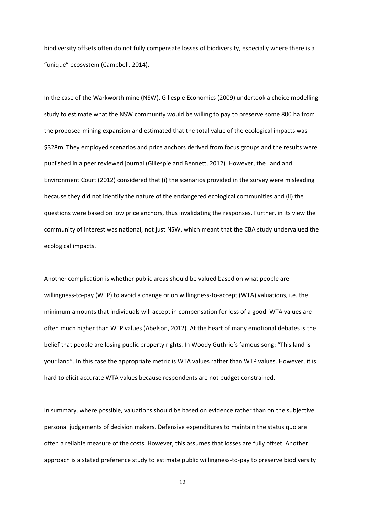biodiversity offsets often do not fully compensate losses of biodiversity, especially where there is a "unique" ecosystem (Campbell, 2014).

In the case of the Warkworth mine (NSW), Gillespie Economics (2009) undertook a choice modelling study to estimate what the NSW community would be willing to pay to preserve some 800 ha from the proposed mining expansion and estimated that the total value of the ecological impacts was \$328m. They employed scenarios and price anchors derived from focus groups and the results were published in a peer reviewed journal (Gillespie and Bennett, 2012). However, the Land and Environment Court (2012) considered that (i) the scenarios provided in the survey were misleading because they did not identify the nature of the endangered ecological communities and (ii) the questions were based on low price anchors, thus invalidating the responses. Further, in its view the community of interest was national, not just NSW, which meant that the CBA study undervalued the ecological impacts.

Another complication is whether public areas should be valued based on what people are willingness-to-pay (WTP) to avoid a change or on willingness-to-accept (WTA) valuations, i.e. the minimum amounts that individuals will accept in compensation for loss of a good. WTA values are often much higher than WTP values (Abelson, 2012). At the heart of many emotional debates is the belief that people are losing public property rights. In Woody Guthrie's famous song: "This land is your land". In this case the appropriate metric is WTA values rather than WTP values. However, it is hard to elicit accurate WTA values because respondents are not budget constrained.

In summary, where possible, valuations should be based on evidence rather than on the subjective personal judgements of decision makers. Defensive expenditures to maintain the status quo are often a reliable measure of the costs. However, this assumes that losses are fully offset. Another approach is a stated preference study to estimate public willingness-to-pay to preserve biodiversity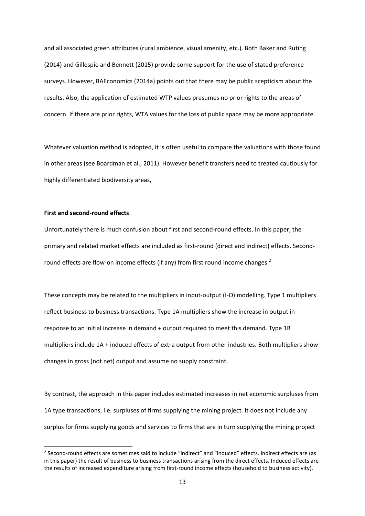and all associated green attributes (rural ambience, visual amenity, etc.). Both Baker and Ruting (2014) and Gillespie and Bennett (2015) provide some support for the use of stated preference surveys. However, BAEconomics (2014a) points out that there may be public scepticism about the results. Also, the application of estimated WTP values presumes no prior rights to the areas of concern. If there are prior rights, WTA values for the loss of public space may be more appropriate.

Whatever valuation method is adopted, it is often useful to compare the valuations with those found in other areas (see Boardman et al., 2011). However benefit transfers need to treated cautiously for highly differentiated biodiversity areas,

#### **First and second-round effects**

**.** 

Unfortunately there is much confusion about first and second-round effects. In this paper, the primary and related market effects are included as first-round (direct and indirect) effects. Secondround effects are flow-on income effects (if any) from first round income changes.<sup>2</sup>

These concepts may be related to the multipliers in input-output (I-O) modelling. Type 1 multipliers reflect business to business transactions. Type 1A multipliers show the increase in output in response to an initial increase in demand + output required to meet this demand. Type 1B multipliers include 1A + induced effects of extra output from other industries. Both multipliers show changes in gross (not net) output and assume no supply constraint.

By contrast, the approach in this paper includes estimated increases in net economic surpluses from 1A type transactions, i.e. surpluses of firms supplying the mining project. It does not include any surplus for firms supplying goods and services to firms that are in turn supplying the mining project

<sup>&</sup>lt;sup>2</sup> Second-round effects are sometimes said to include "indirect" and "induced" effects. Indirect effects are (as in this paper) the result of business to business transactions arising from the direct effects. Induced effects are the results of increased expenditure arising from first-round income effects (household to business activity).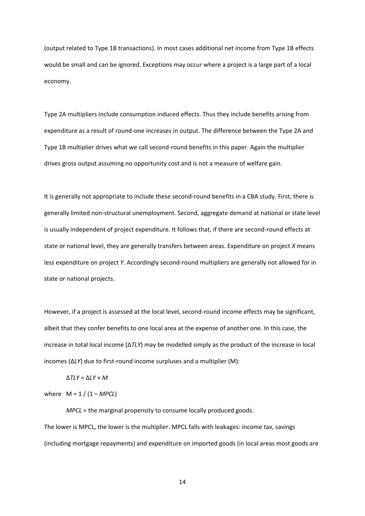(output related to Type 1B transactions). In most cases additional net income from Type 1B effects would be small and can be ignored. Exceptions may occur where a project is a large part of a local economy.

Type 2A multipliers include consumption induced effects. Thus they include benefits arising from expenditure as a result of round-one increases in output. The difference between the Type 2A and Type 1B multiplier drives what we call second-round benefits in this paper. Again the multiplier drives gross output assuming no opportunity cost and is not a measure of welfare gain.

It is generally not appropriate to include these second-round benefits in a CBA study. First, there is generally limited non-structural unemployment. Second, aggregate demand at national or state level is usually independent of project expenditure. It follows that, if there are second-round effects at state or national level, they are generally transfers between areas. Expenditure on project *X* means less expenditure on project *Y*. Accordingly second-round multipliers are generally not allowed for in state or national projects.

However, if a project is assessed at the local level, second-round income effects may be significant, albeit that they confer benefits to one local area at the expense of another one. In this case, the increase in total local income (Δ*TLY*) may be modelled simply as the product of the increase in local incomes (Δ*LY*) due to first-round income surpluses and a multiplier (M):

$$
\Delta TLY = \Delta LY \times M
$$

where  $M = 1 / (1 - MPCL)$ 

*MPCL* = the marginal propensity to consume locally produced goods. The lower is MPCL, the lower is the multiplier. MPCL falls with leakages: income tax, savings (including mortgage repayments) and expenditure on imported goods (in local areas most goods are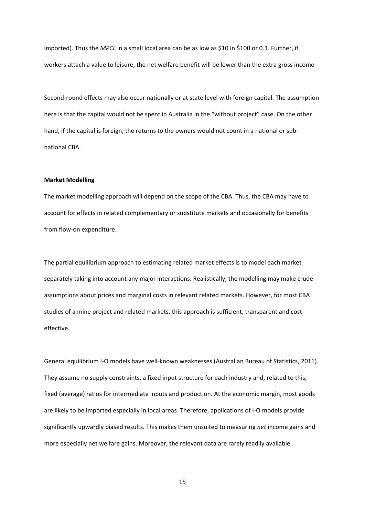imported). Thus the *MPCL* in a small local area can be as low as \$10 in \$100 or 0.1. Further, if workers attach a value to leisure, the net welfare benefit will be lower than the extra gross income

Second-round effects may also occur nationally or at state level with foreign capital. The assumption here is that the capital would not be spent in Australia in the "without project" case. On the other hand, if the capital is foreign, the returns to the owners would not count in a national or subnational CBA.

#### **Market Modelling**

The market modelling approach will depend on the scope of the CBA. Thus, the CBA may have to account for effects in related complementary or substitute markets and occasionally for benefits from flow-on expenditure.

The partial equilibrium approach to estimating related market effects is to model each market separately taking into account any major interactions. Realistically, the modelling may make crude assumptions about prices and marginal costs in relevant related markets. However, for most CBA studies of a mine project and related markets, this approach is sufficient, transparent and costeffective.

General equilibrium I-O models have well-known weaknesses (Australian Bureau of Statistics, 2011). They assume no supply constraints, a fixed input structure for each industry and, related to this, fixed (average) ratios for intermediate inputs and production. At the economic margin, most goods are likely to be imported especially in local areas. Therefore, applications of I-O models provide significantly upwardly biased results. This makes them unsuited to measuring *net* income gains and more especially net welfare gains. Moreover, the relevant data are rarely readily available.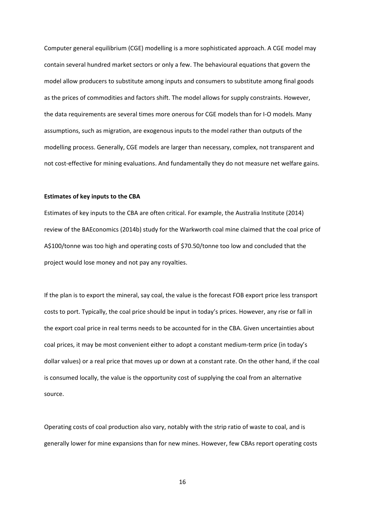Computer general equilibrium (CGE) modelling is a more sophisticated approach. A CGE model may contain several hundred market sectors or only a few. The behavioural equations that govern the model allow producers to substitute among inputs and consumers to substitute among final goods as the prices of commodities and factors shift. The model allows for supply constraints. However, the data requirements are several times more onerous for CGE models than for I-O models. Many assumptions, such as migration, are exogenous inputs to the model rather than outputs of the modelling process. Generally, CGE models are larger than necessary, complex, not transparent and not cost-effective for mining evaluations. And fundamentally they do not measure net welfare gains.

#### **Estimates of key inputs to the CBA**

Estimates of key inputs to the CBA are often critical. For example, the Australia Institute (2014) review of the BAEconomics (2014b) study for the Warkworth coal mine claimed that the coal price of A\$100/tonne was too high and operating costs of \$70.50/tonne too low and concluded that the project would lose money and not pay any royalties.

If the plan is to export the mineral, say coal, the value is the forecast FOB export price less transport costs to port. Typically, the coal price should be input in today's prices. However, any rise or fall in the export coal price in real terms needs to be accounted for in the CBA. Given uncertainties about coal prices, it may be most convenient either to adopt a constant medium-term price (in today's dollar values) or a real price that moves up or down at a constant rate. On the other hand, if the coal is consumed locally, the value is the opportunity cost of supplying the coal from an alternative source.

Operating costs of coal production also vary, notably with the strip ratio of waste to coal, and is generally lower for mine expansions than for new mines. However, few CBAs report operating costs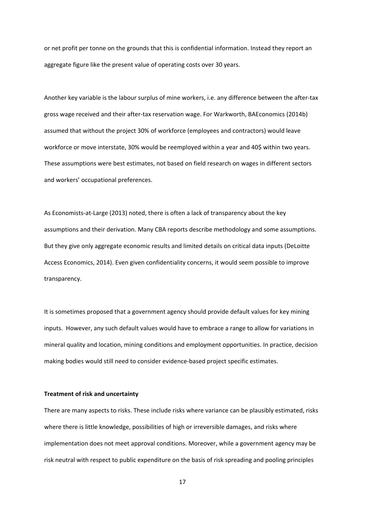or net profit per tonne on the grounds that this is confidential information. Instead they report an aggregate figure like the present value of operating costs over 30 years.

Another key variable is the labour surplus of mine workers, i.e. any difference between the after-tax gross wage received and their after-tax reservation wage. For Warkworth, BAEconomics (2014b) assumed that without the project 30% of workforce (employees and contractors) would leave workforce or move interstate, 30% would be reemployed within a year and 40\$ within two years. These assumptions were best estimates, not based on field research on wages in different sectors and workers' occupational preferences.

As Economists-at-Large (2013) noted, there is often a lack of transparency about the key assumptions and their derivation. Many CBA reports describe methodology and some assumptions. But they give only aggregate economic results and limited details on critical data inputs (DeLoitte Access Economics, 2014). Even given confidentiality concerns, it would seem possible to improve transparency.

It is sometimes proposed that a government agency should provide default values for key mining inputs. However, any such default values would have to embrace a range to allow for variations in mineral quality and location, mining conditions and employment opportunities. In practice, decision making bodies would still need to consider evidence-based project specific estimates.

#### **Treatment of risk and uncertainty**

There are many aspects to risks. These include risks where variance can be plausibly estimated, risks where there is little knowledge, possibilities of high or irreversible damages, and risks where implementation does not meet approval conditions. Moreover, while a government agency may be risk neutral with respect to public expenditure on the basis of risk spreading and pooling principles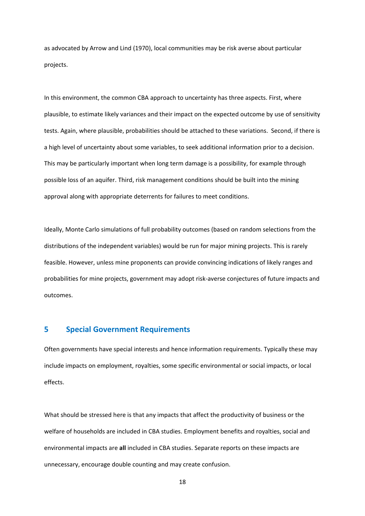as advocated by Arrow and Lind (1970), local communities may be risk averse about particular projects.

In this environment, the common CBA approach to uncertainty has three aspects. First, where plausible, to estimate likely variances and their impact on the expected outcome by use of sensitivity tests. Again, where plausible, probabilities should be attached to these variations. Second, if there is a high level of uncertainty about some variables, to seek additional information prior to a decision. This may be particularly important when long term damage is a possibility, for example through possible loss of an aquifer. Third, risk management conditions should be built into the mining approval along with appropriate deterrents for failures to meet conditions.

Ideally, Monte Carlo simulations of full probability outcomes (based on random selections from the distributions of the independent variables) would be run for major mining projects. This is rarely feasible. However, unless mine proponents can provide convincing indications of likely ranges and probabilities for mine projects, government may adopt risk-averse conjectures of future impacts and outcomes.

## **5 Special Government Requirements**

Often governments have special interests and hence information requirements. Typically these may include impacts on employment, royalties, some specific environmental or social impacts, or local effects.

What should be stressed here is that any impacts that affect the productivity of business or the welfare of households are included in CBA studies. Employment benefits and royalties, social and environmental impacts are **all** included in CBA studies. Separate reports on these impacts are unnecessary, encourage double counting and may create confusion.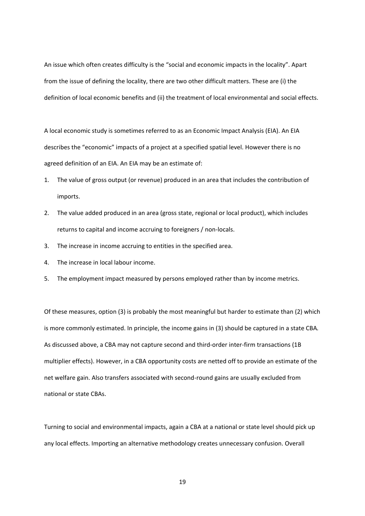An issue which often creates difficulty is the "social and economic impacts in the locality". Apart from the issue of defining the locality, there are two other difficult matters. These are (i) the definition of local economic benefits and (ii) the treatment of local environmental and social effects.

A local economic study is sometimes referred to as an Economic Impact Analysis (EIA). An EIA describes the "economic" impacts of a project at a specified spatial level. However there is no agreed definition of an EIA. An EIA may be an estimate of:

- 1. The value of gross output (or revenue) produced in an area that includes the contribution of imports.
- 2. The value added produced in an area (gross state, regional or local product), which includes returns to capital and income accruing to foreigners / non-locals.
- 3. The increase in income accruing to entities in the specified area.
- 4. The increase in local labour income.
- 5. The employment impact measured by persons employed rather than by income metrics.

Of these measures, option (3) is probably the most meaningful but harder to estimate than (2) which is more commonly estimated. In principle, the income gains in (3) should be captured in a state CBA*.* As discussed above, a CBA may not capture second and third-order inter-firm transactions (1B multiplier effects). However, in a CBA opportunity costs are netted off to provide an estimate of the net welfare gain. Also transfers associated with second-round gains are usually excluded from national or state CBAs.

Turning to social and environmental impacts, again a CBA at a national or state level should pick up any local effects. Importing an alternative methodology creates unnecessary confusion. Overall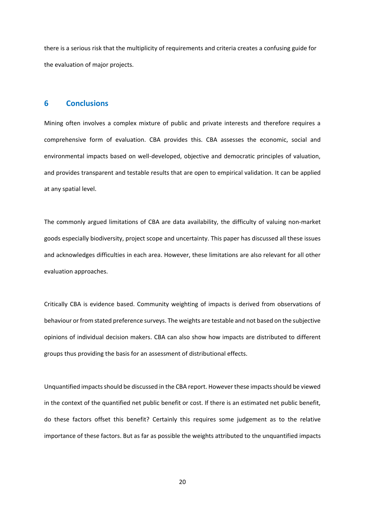there is a serious risk that the multiplicity of requirements and criteria creates a confusing guide for the evaluation of major projects.

### **6 Conclusions**

Mining often involves a complex mixture of public and private interests and therefore requires a comprehensive form of evaluation. CBA provides this. CBA assesses the economic, social and environmental impacts based on well-developed, objective and democratic principles of valuation, and provides transparent and testable results that are open to empirical validation. It can be applied at any spatial level.

The commonly argued limitations of CBA are data availability, the difficulty of valuing non-market goods especially biodiversity, project scope and uncertainty. This paper has discussed all these issues and acknowledges difficulties in each area. However, these limitations are also relevant for all other evaluation approaches.

Critically CBA is evidence based. Community weighting of impacts is derived from observations of behaviour or from stated preference surveys. The weights are testable and not based on the subjective opinions of individual decision makers. CBA can also show how impacts are distributed to different groups thus providing the basis for an assessment of distributional effects.

Unquantified impacts should be discussed in the CBA report. However these impacts should be viewed in the context of the quantified net public benefit or cost. If there is an estimated net public benefit, do these factors offset this benefit? Certainly this requires some judgement as to the relative importance of these factors. But as far as possible the weights attributed to the unquantified impacts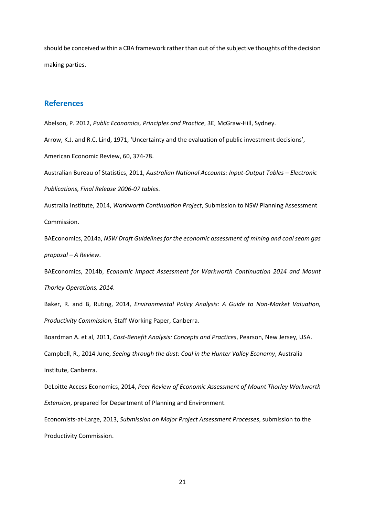should be conceived within a CBA framework rather than out of the subjective thoughts of the decision making parties.

## **References**

Abelson, P. 2012, *Public Economics, Principles and Practice*, 3E, McGraw-Hill, Sydney.

Arrow, K.J. and R.C. Lind, 1971, 'Uncertainty and the evaluation of public investment decisions',

American Economic Review, 60, 374-78.

Australian Bureau of Statistics, 2011, *Australian National Accounts: Input-Output Tables – Electronic Publications, Final Release 2006-07 tables*.

Australia Institute, 2014, *Warkworth Continuation Project*, Submission to NSW Planning Assessment Commission.

BAEconomics, 2014a, *NSW Draft Guidelines for the economic assessment of mining and coal seam gas proposal – A Review*.

BAEconomics, 2014b, *Economic Impact Assessment for Warkworth Continuation 2014 and Mount Thorley Operations, 2014*.

Baker, R. and B, Ruting, 2014, *Environmental Policy Analysis: A Guide to Non-Market Valuation, Productivity Commission,* Staff Working Paper, Canberra*.*

Boardman A. et al, 2011, *Cost-Benefit Analysis: Concepts and Practices*, Pearson, New Jersey, USA. Campbell, R., 2014 June, *Seeing through the dust: Coal in the Hunter Valley Economy*, Australia Institute, Canberra.

DeLoitte Access Economics, 2014, *Peer Review of Economic Assessment of Mount Thorley Warkworth Extension*, prepared for Department of Planning and Environment.

Economists-at-Large, 2013, *Submission on Major Project Assessment Processes*, submission to the Productivity Commission.